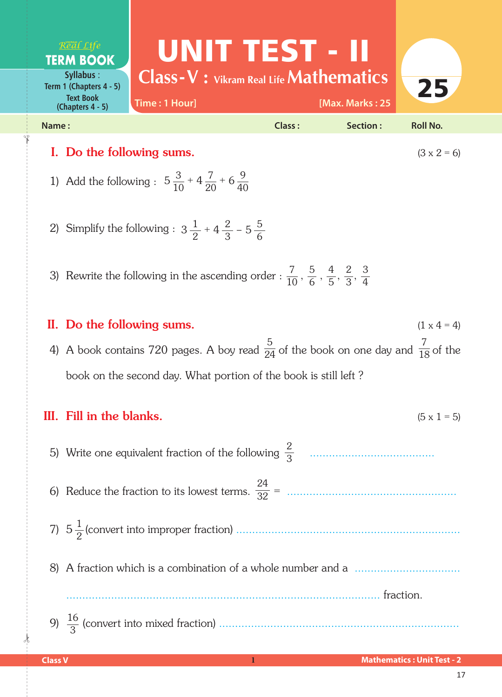UNIT TEST - II Real Life **TERM BOOK Class-V : Vikram Real Life Mathematics Syllabus** : 25 **Term 1 (Chapters 4 - 5) Text Book Time : 1 Hour] [Max. Marks : 25 (Chapters 4 - 5) Name : Class : Section : Roll No.**  I. Do the following sums. ( $3 \times 2 = 6$ )

- 1) Add the following :  $5\frac{3}{10}$ 10 7 20  $5\frac{3}{10} + 4\frac{7}{20} + 6\frac{9}{40}$
- 2) Simplify the following :  $3\frac{1}{2}$ 2 2 3  $3\frac{1}{2}$  + 4  $\frac{2}{3}$  – 5  $\frac{5}{6}$

3) Rewrite the following in the ascending order :  $\frac{7}{10}$ 10 5 6 4 5 2 3  $\frac{5}{6},\frac{4}{5},\frac{2}{3},\frac{3}{4}$ 

II. Do the following sums.  $(1 \times 4 = 4)$ 4) A book contains 720 pages. A boy read  $\frac{1}{24}$  of the book on one day and  $\frac{1}{18}$  of the book on the second day. What portion of the book is still left ? 5 24 7 18

## III. Fill in the blanks.  $(5 \times 1 = 5)$ 5) Write one equivalent fraction of the following ....................................... 2 6) Reduce the fraction to its lowest terms. = ..................................................... 24 7) 5 (convert into improper fraction) ...................................................................... 1 8) A fraction which is a combination of a whole number and a ................................. .................................................................................................. fraction. 9) (convert into mixed fraction) ........................................................................... 16 3 2 3 32

 $\frac{1}{2}$ 

✁